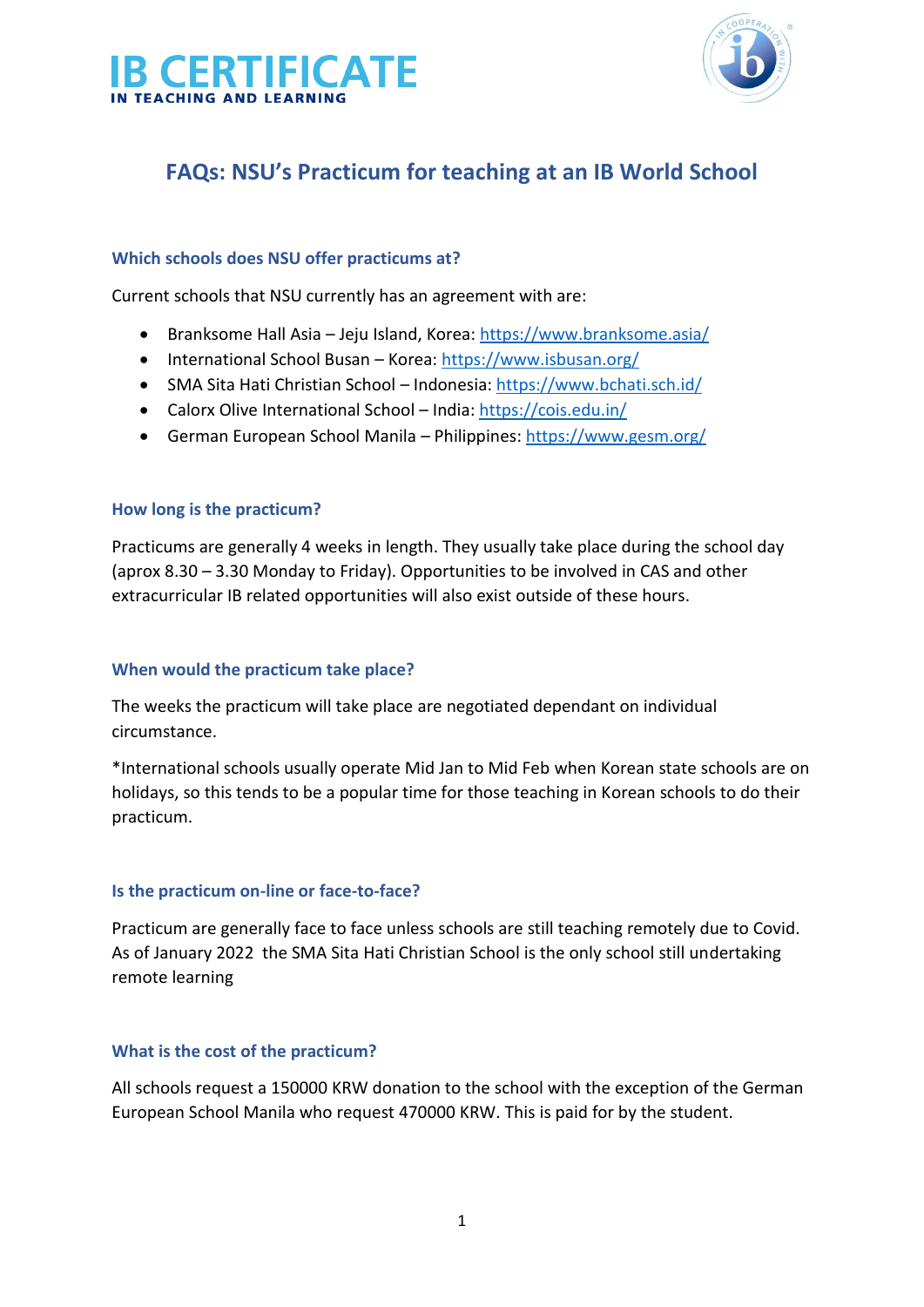



# **FAQs: NSU's Practicum for teaching at an IB World School**

### **Which schools does NSU offer practicums at?**

Current schools that NSU currently has an agreement with are:

- Branksome Hall Asia Jeju Island, Korea:<https://www.branksome.asia/>
- International School Busan Korea:<https://www.isbusan.org/>
- SMA Sita Hati Christian School Indonesia:<https://www.bchati.sch.id/>
- Calorx Olive International School India:<https://cois.edu.in/>
- German European School Manila Philippines:<https://www.gesm.org/>

#### **How long is the practicum?**

Practicums are generally 4 weeks in length. They usually take place during the school day (aprox 8.30 – 3.30 Monday to Friday). Opportunities to be involved in CAS and other extracurricular IB related opportunities will also exist outside of these hours.

#### **When would the practicum take place?**

The weeks the practicum will take place are negotiated dependant on individual circumstance.

\*International schools usually operate Mid Jan to Mid Feb when Korean state schools are on holidays, so this tends to be a popular time for those teaching in Korean schools to do their practicum.

#### **Is the practicum on-line or face-to-face?**

Practicum are generally face to face unless schools are still teaching remotely due to Covid. As of January 2022 the SMA Sita Hati Christian School is the only school still undertaking remote learning

#### **What is the cost of the practicum?**

All schools request a 150000 KRW donation to the school with the exception of the German European School Manila who request 470000 KRW. This is paid for by the student.